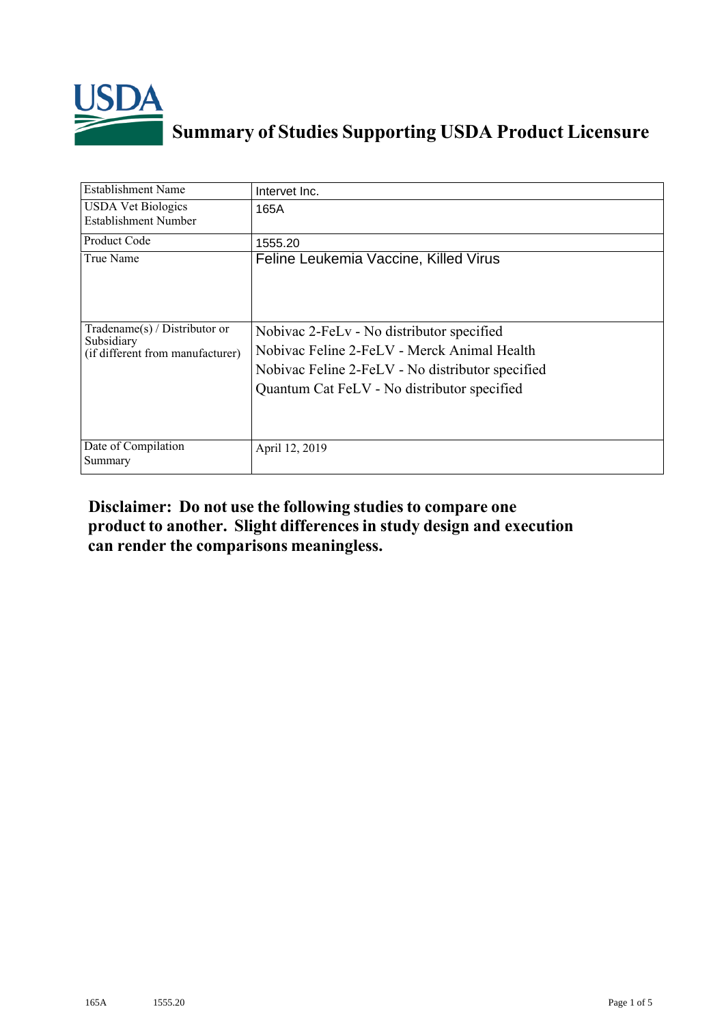

## **Summary of Studies Supporting USDA Product Licensure**

| Establishment Name                                                              | Intervet Inc.                                                                                                                                                                               |
|---------------------------------------------------------------------------------|---------------------------------------------------------------------------------------------------------------------------------------------------------------------------------------------|
| <b>USDA Vet Biologics</b><br><b>Establishment Number</b>                        | 165A                                                                                                                                                                                        |
| Product Code                                                                    | 1555.20                                                                                                                                                                                     |
| True Name                                                                       | Feline Leukemia Vaccine, Killed Virus                                                                                                                                                       |
| Tradename(s) / Distributor or<br>Subsidiary<br>(if different from manufacturer) | Nobivac 2-FeLv - No distributor specified<br>Nobivac Feline 2-FeLV - Merck Animal Health<br>Nobivac Feline 2-FeLV - No distributor specified<br>Quantum Cat FeLV - No distributor specified |
| Date of Compilation<br>Summary                                                  | April 12, 2019                                                                                                                                                                              |

## **Disclaimer: Do not use the following studiesto compare one product to another. Slight differencesin study design and execution can render the comparisons meaningless.**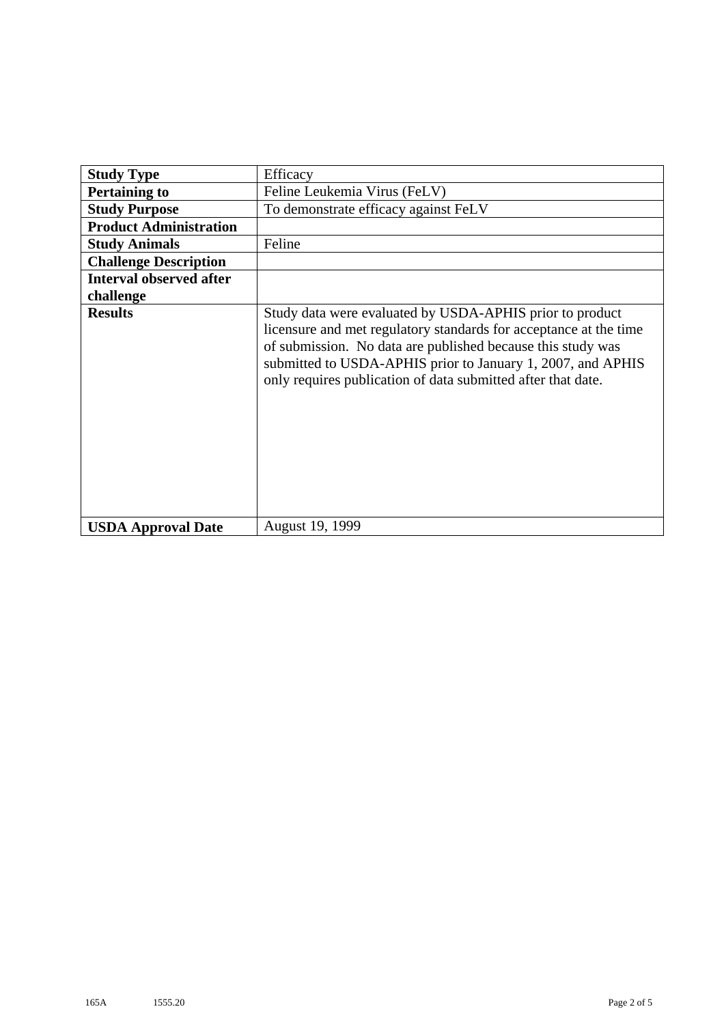| <b>Study Type</b>              | Efficacy                                                                                                                                                                                                                                                                                                                    |  |  |  |  |  |  |
|--------------------------------|-----------------------------------------------------------------------------------------------------------------------------------------------------------------------------------------------------------------------------------------------------------------------------------------------------------------------------|--|--|--|--|--|--|
| <b>Pertaining to</b>           | Feline Leukemia Virus (FeLV)                                                                                                                                                                                                                                                                                                |  |  |  |  |  |  |
| <b>Study Purpose</b>           | To demonstrate efficacy against FeLV                                                                                                                                                                                                                                                                                        |  |  |  |  |  |  |
| <b>Product Administration</b>  |                                                                                                                                                                                                                                                                                                                             |  |  |  |  |  |  |
| <b>Study Animals</b>           | Feline                                                                                                                                                                                                                                                                                                                      |  |  |  |  |  |  |
| <b>Challenge Description</b>   |                                                                                                                                                                                                                                                                                                                             |  |  |  |  |  |  |
| <b>Interval observed after</b> |                                                                                                                                                                                                                                                                                                                             |  |  |  |  |  |  |
| challenge                      |                                                                                                                                                                                                                                                                                                                             |  |  |  |  |  |  |
| <b>Results</b>                 | Study data were evaluated by USDA-APHIS prior to product<br>licensure and met regulatory standards for acceptance at the time<br>of submission. No data are published because this study was<br>submitted to USDA-APHIS prior to January 1, 2007, and APHIS<br>only requires publication of data submitted after that date. |  |  |  |  |  |  |
| <b>USDA Approval Date</b>      | August 19, 1999                                                                                                                                                                                                                                                                                                             |  |  |  |  |  |  |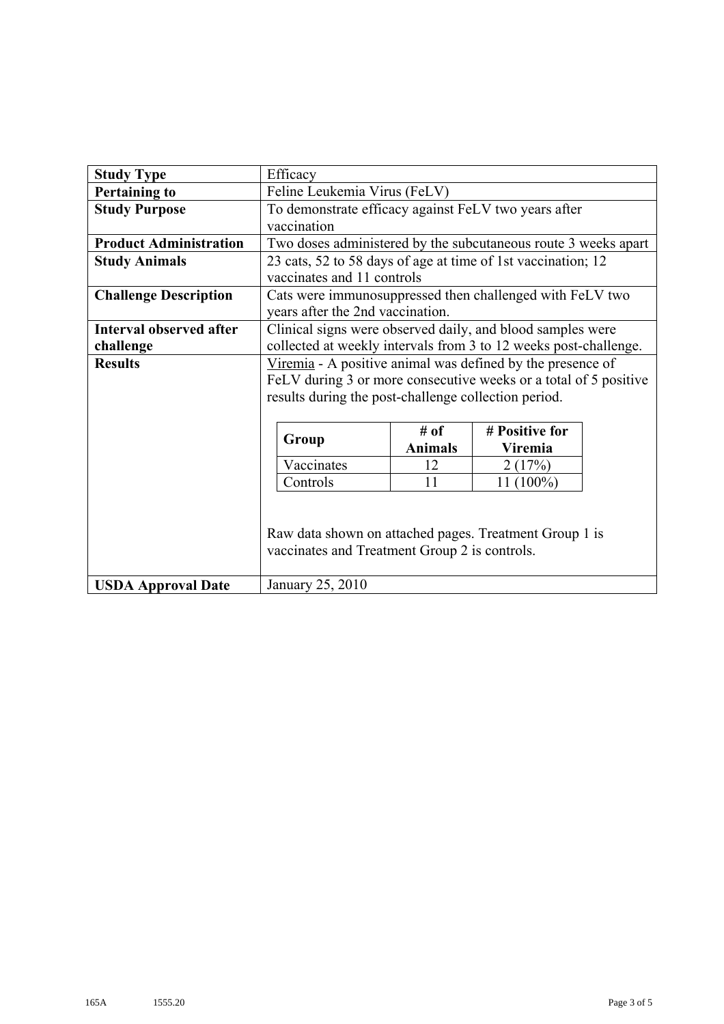| <b>Study Type</b>              | Efficacy                                                         |                |                |  |  |  |  |  |  |  |  |
|--------------------------------|------------------------------------------------------------------|----------------|----------------|--|--|--|--|--|--|--|--|
| <b>Pertaining to</b>           | Feline Leukemia Virus (FeLV)                                     |                |                |  |  |  |  |  |  |  |  |
| <b>Study Purpose</b>           | To demonstrate efficacy against FeLV two years after             |                |                |  |  |  |  |  |  |  |  |
|                                | vaccination                                                      |                |                |  |  |  |  |  |  |  |  |
| <b>Product Administration</b>  | Two doses administered by the subcutaneous route 3 weeks apart   |                |                |  |  |  |  |  |  |  |  |
| <b>Study Animals</b>           | 23 cats, 52 to 58 days of age at time of 1st vaccination; 12     |                |                |  |  |  |  |  |  |  |  |
|                                | vaccinates and 11 controls                                       |                |                |  |  |  |  |  |  |  |  |
| <b>Challenge Description</b>   | Cats were immunosuppressed then challenged with FeLV two         |                |                |  |  |  |  |  |  |  |  |
|                                | years after the 2nd vaccination.                                 |                |                |  |  |  |  |  |  |  |  |
| <b>Interval observed after</b> | Clinical signs were observed daily, and blood samples were       |                |                |  |  |  |  |  |  |  |  |
| challenge                      | collected at weekly intervals from 3 to 12 weeks post-challenge. |                |                |  |  |  |  |  |  |  |  |
| <b>Results</b>                 | Viremia - A positive animal was defined by the presence of       |                |                |  |  |  |  |  |  |  |  |
|                                | FeLV during 3 or more consecutive weeks or a total of 5 positive |                |                |  |  |  |  |  |  |  |  |
|                                | results during the post-challenge collection period.             |                |                |  |  |  |  |  |  |  |  |
|                                |                                                                  |                |                |  |  |  |  |  |  |  |  |
|                                |                                                                  | # of           | # Positive for |  |  |  |  |  |  |  |  |
|                                | Group                                                            | <b>Animals</b> | Viremia        |  |  |  |  |  |  |  |  |
|                                | Vaccinates                                                       | 12             | 2(17%)         |  |  |  |  |  |  |  |  |
|                                | Controls                                                         | 11             | 11 (100%)      |  |  |  |  |  |  |  |  |
|                                |                                                                  |                |                |  |  |  |  |  |  |  |  |
|                                |                                                                  |                |                |  |  |  |  |  |  |  |  |
|                                | Raw data shown on attached pages. Treatment Group 1 is           |                |                |  |  |  |  |  |  |  |  |
|                                | vaccinates and Treatment Group 2 is controls.                    |                |                |  |  |  |  |  |  |  |  |
|                                |                                                                  |                |                |  |  |  |  |  |  |  |  |
| <b>USDA Approval Date</b>      | January 25, 2010                                                 |                |                |  |  |  |  |  |  |  |  |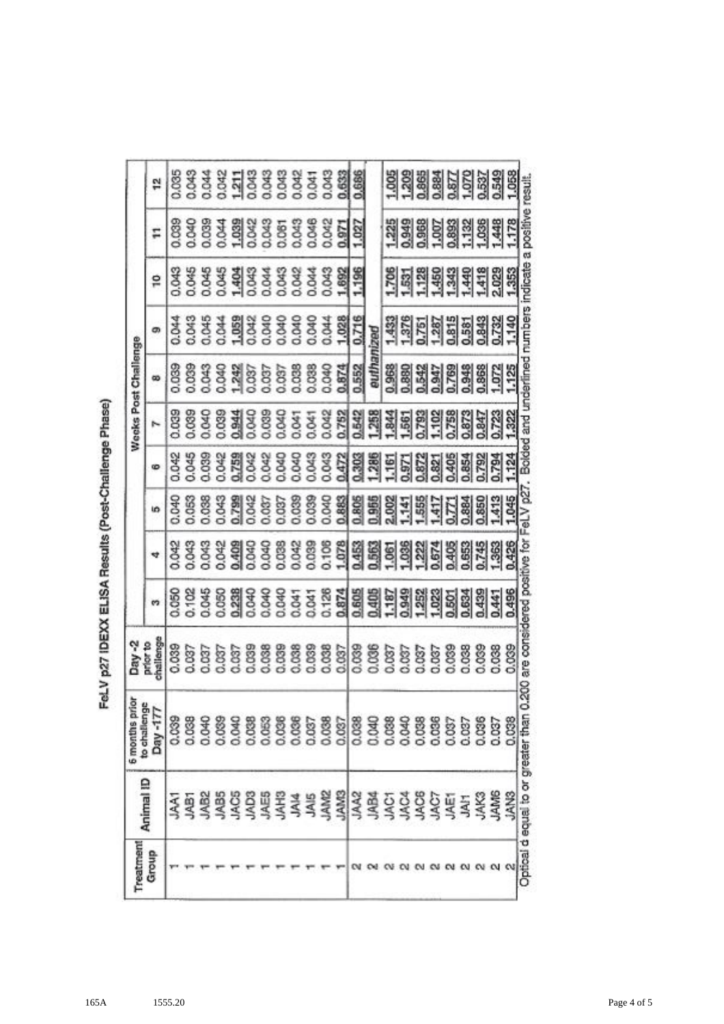|                               | 엳         |              |                          |            |      |                            |       |       |                           |            |                                                          |       | 88848118888858<br>8884811888885 | 0.633                | 0.686          |            |       |                |                                                      |            |       |                                                                                                   |
|-------------------------------|-----------|--------------|--------------------------|------------|------|----------------------------|-------|-------|---------------------------|------------|----------------------------------------------------------|-------|---------------------------------|----------------------|----------------|------------|-------|----------------|------------------------------------------------------|------------|-------|---------------------------------------------------------------------------------------------------|
|                               |           |              |                          |            |      |                            |       |       |                           |            |                                                          |       |                                 |                      |                |            |       |                |                                                      |            |       |                                                                                                   |
|                               | H         |              |                          |            |      |                            |       |       |                           |            |                                                          |       | 8888488888888<br>88884888888888 | 0.971                | $\frac{27}{2}$ |            |       |                |                                                      |            |       | 139858838                                                                                         |
|                               | °         | <b>CHOIC</b> |                          |            |      |                            |       |       |                           |            |                                                          |       |                                 |                      | 1,196          |            |       |                |                                                      |            |       | <u>sia alajajajaja</u><br>1999 alajajajaja                                                        |
|                               | ශ         |              |                          |            |      |                            |       |       |                           |            |                                                          |       |                                 |                      | 0.716          |            |       |                |                                                      |            |       | 1969999999                                                                                        |
| Weeks Post Challenge          | 90        |              |                          |            |      |                            |       |       |                           |            | 00883<br>00043888<br>00043888000<br>00043888000<br>0.038 |       | 040                             | 0.874                | 0.552          | euthanized |       |                |                                                      |            |       | 88834788886125<br>8893588861                                                                      |
|                               | ٣         |              | 0.039<br>0.039           | <b>DRC</b> |      | 0.084                      |       |       |                           | <b>DAC</b> |                                                          |       | 3.842<br>0.042                  | 0.752                | 0.542          | 258        |       |                |                                                      |            |       | .322                                                                                              |
|                               |           |              |                          |            |      |                            |       |       |                           |            |                                                          |       |                                 |                      |                |            |       |                |                                                      |            |       |                                                                                                   |
|                               | စ         |              |                          |            |      | 0.048<br>0.0582<br>0.06758 | 1.042 |       | 3<br>ă                    | 3.04C      | 3.043                                                    |       | 5.                              |                      |                |            |       |                |                                                      |            |       | <u>a si el El Citata de Salajar</u><br>Si el El Citata de Salajara<br>Si el El Citata de Salajara |
|                               | 5         |              |                          |            |      | 례                          | 1.042 | 0.037 |                           |            |                                                          |       | 0.883                           |                      |                |            |       |                |                                                      |            |       |                                                                                                   |
|                               | ₩         |              |                          |            |      |                            |       |       |                           |            |                                                          |       |                                 |                      |                |            |       |                |                                                      |            |       |                                                                                                   |
|                               | m         |              |                          |            |      |                            |       |       |                           |            |                                                          |       |                                 |                      |                |            |       |                |                                                      |            |       |                                                                                                   |
| Day-2<br>prior to             | thallenge | 0.039        |                          |            |      |                            |       |       | 0.039<br>0.038            |            |                                                          |       |                                 |                      |                |            |       |                |                                                      |            |       | 0.039<br>0.038                                                                                    |
| 6 months prio<br>to challenge | Day-177   | 0.039        | 0.038                    | 0.040      |      | 0.04C                      | 0.038 | 0.063 | 0.036                     | 0.036      | 0.037                                                    | 0.038 | 0.037                           |                      | 0.038<br>0.040 | 0.038      | 0.040 | 0.038<br>0.036 | 0.037                                                | 0.037      | 0.036 | 0.037                                                                                             |
| Animal ID                     |           |              | <b>AAT</b><br>ABI<br>AB2 |            | JAB5 |                            |       |       | ទីទី ឆ្នាំ ឆ្នាំ<br>កំពុង |            | <b>Al4</b>                                               | JAM2  |                                 | <b>SIVVI</b><br>JAA2 |                |            |       |                | ត្តិ<br>ក្នុង ភូមិ ភូមិ<br>ស្រុក ភូមិ<br><b>JAE1</b> | <b>JAH</b> |       | <b>JAK3</b><br>JAM6                                                                               |
|                               |           |              |                          |            |      |                            |       |       |                           |            |                                                          |       |                                 |                      |                |            |       |                |                                                      |            |       |                                                                                                   |

FeLV p27 IDEXX ELISA Results (Post-Challenge Phase)